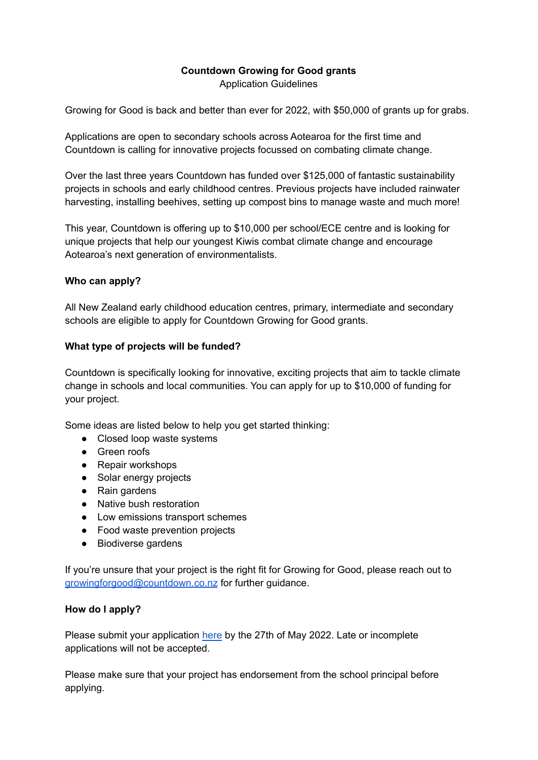## **Countdown Growing for Good grants**

Application Guidelines

Growing for Good is back and better than ever for 2022, with \$50,000 of grants up for grabs.

Applications are open to secondary schools across Aotearoa for the first time and Countdown is calling for innovative projects focussed on combating climate change.

Over the last three years Countdown has funded over \$125,000 of fantastic sustainability projects in schools and early childhood centres. Previous projects have included rainwater harvesting, installing beehives, setting up compost bins to manage waste and much more!

This year, Countdown is offering up to \$10,000 per school/ECE centre and is looking for unique projects that help our youngest Kiwis combat climate change and encourage Aotearoa's next generation of environmentalists.

### **Who can apply?**

All New Zealand early childhood education centres, primary, intermediate and secondary schools are eligible to apply for Countdown Growing for Good grants.

### **What type of projects will be funded?**

Countdown is specifically looking for innovative, exciting projects that aim to tackle climate change in schools and local communities. You can apply for up to \$10,000 of funding for your project.

Some ideas are listed below to help you get started thinking:

- Closed loop waste systems
- Green roofs
- Repair workshops
- Solar energy projects
- Rain gardens
- Native bush restoration
- Low emissions transport schemes
- Food waste prevention projects
- Biodiverse gardens

If you're unsure that your project is the right fit for Growing for Good, please reach out to [growingforgood@countdown.co.nz](mailto:growingforgood@countdown.co.nz) for further guidance.

#### **How do I apply?**

Please submit your application [here](https://docs.google.com/forms/d/e/1FAIpQLSfaeTs0N73URFhaOX6tVER575yPCGjaBxe_pDEH51sIchwrkA/viewform) by the 27th of May 2022. Late or incomplete applications will not be accepted.

Please make sure that your project has endorsement from the school principal before applying.